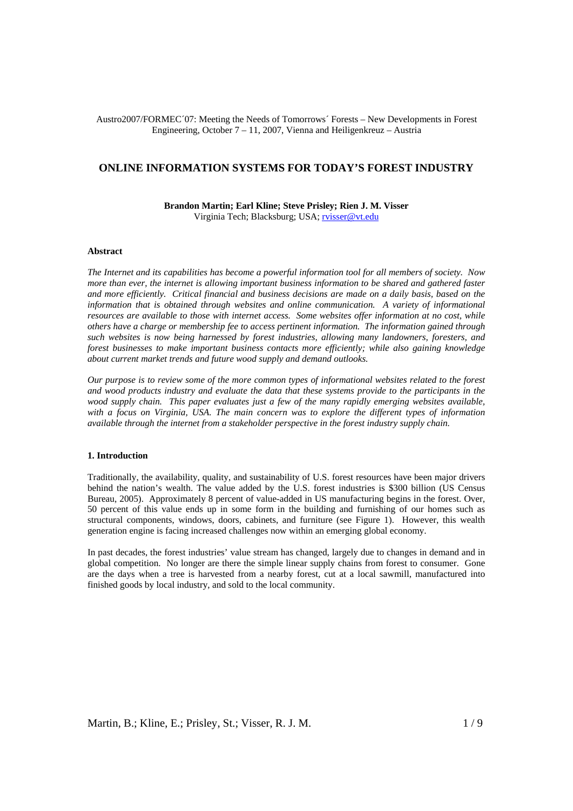# Austro2007/FORMEC´07: Meeting the Needs of Tomorrows´ Forests – New Developments in Forest Engineering, October 7 – 11, 2007, Vienna and Heiligenkreuz – Austria

# **ONLINE INFORMATION SYSTEMS FOR TODAY'S FOREST INDUSTRY**

**Brandon Martin; Earl Kline; Steve Prisley; Rien J. M. Visser**  Virginia Tech; Blacksburg; USA; rvisser@vt.edu

#### **Abstract**

*The Internet and its capabilities has become a powerful information tool for all members of society. Now more than ever, the internet is allowing important business information to be shared and gathered faster and more efficiently. Critical financial and business decisions are made on a daily basis, based on the information that is obtained through websites and online communication. A variety of informational resources are available to those with internet access. Some websites offer information at no cost, while others have a charge or membership fee to access pertinent information. The information gained through such websites is now being harnessed by forest industries, allowing many landowners, foresters, and forest businesses to make important business contacts more efficiently; while also gaining knowledge about current market trends and future wood supply and demand outlooks.* 

*Our purpose is to review some of the more common types of informational websites related to the forest and wood products industry and evaluate the data that these systems provide to the participants in the wood supply chain. This paper evaluates just a few of the many rapidly emerging websites available, with a focus on Virginia, USA. The main concern was to explore the different types of information available through the internet from a stakeholder perspective in the forest industry supply chain.* 

#### **1. Introduction**

Traditionally, the availability, quality, and sustainability of U.S. forest resources have been major drivers behind the nation's wealth. The value added by the U.S. forest industries is \$300 billion (US Census Bureau, 2005). Approximately 8 percent of value-added in US manufacturing begins in the forest. Over, 50 percent of this value ends up in some form in the building and furnishing of our homes such as structural components, windows, doors, cabinets, and furniture (see Figure 1). However, this wealth generation engine is facing increased challenges now within an emerging global economy.

In past decades, the forest industries' value stream has changed, largely due to changes in demand and in global competition. No longer are there the simple linear supply chains from forest to consumer. Gone are the days when a tree is harvested from a nearby forest, cut at a local sawmill, manufactured into finished goods by local industry, and sold to the local community.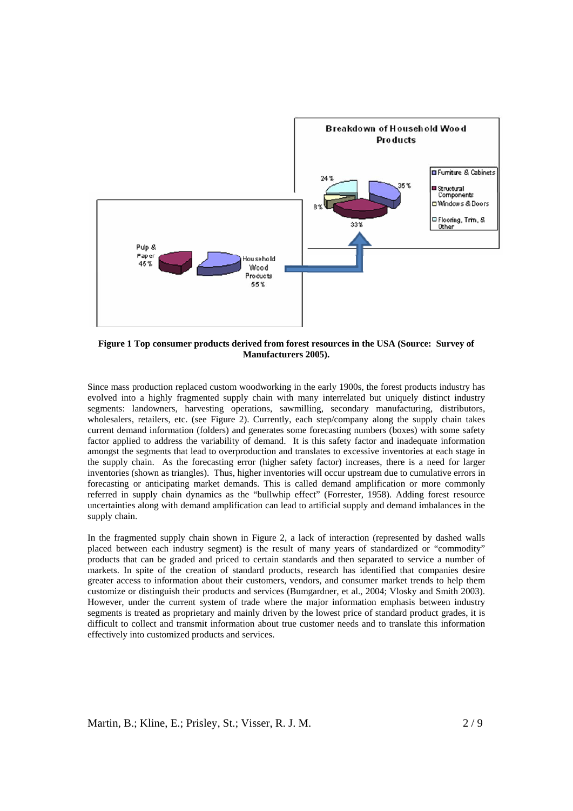

**Figure 1 Top consumer products derived from forest resources in the USA (Source: Survey of Manufacturers 2005).** 

Since mass production replaced custom woodworking in the early 1900s, the forest products industry has evolved into a highly fragmented supply chain with many interrelated but uniquely distinct industry segments: landowners, harvesting operations, sawmilling, secondary manufacturing, distributors, wholesalers, retailers, etc. (see Figure 2). Currently, each step/company along the supply chain takes current demand information (folders) and generates some forecasting numbers (boxes) with some safety factor applied to address the variability of demand. It is this safety factor and inadequate information amongst the segments that lead to overproduction and translates to excessive inventories at each stage in the supply chain. As the forecasting error (higher safety factor) increases, there is a need for larger inventories (shown as triangles). Thus, higher inventories will occur upstream due to cumulative errors in forecasting or anticipating market demands. This is called demand amplification or more commonly referred in supply chain dynamics as the "bullwhip effect" (Forrester, 1958). Adding forest resource uncertainties along with demand amplification can lead to artificial supply and demand imbalances in the supply chain.

In the fragmented supply chain shown in Figure 2, a lack of interaction (represented by dashed walls placed between each industry segment) is the result of many years of standardized or "commodity" products that can be graded and priced to certain standards and then separated to service a number of markets. In spite of the creation of standard products, research has identified that companies desire greater access to information about their customers, vendors, and consumer market trends to help them customize or distinguish their products and services (Bumgardner, et al., 2004; Vlosky and Smith 2003). However, under the current system of trade where the major information emphasis between industry segments is treated as proprietary and mainly driven by the lowest price of standard product grades, it is difficult to collect and transmit information about true customer needs and to translate this information effectively into customized products and services.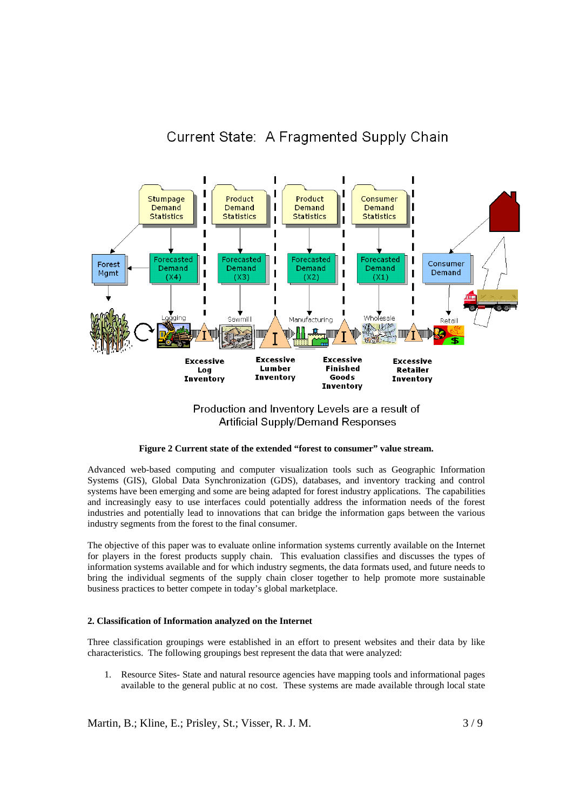# Current State: A Fragmented Supply Chain



Production and Inventory Levels are a result of **Artificial Supply/Demand Responses** 

# **Figure 2 Current state of the extended "forest to consumer" value stream.**

Advanced web-based computing and computer visualization tools such as Geographic Information Systems (GIS), Global Data Synchronization (GDS), databases, and inventory tracking and control systems have been emerging and some are being adapted for forest industry applications. The capabilities and increasingly easy to use interfaces could potentially address the information needs of the forest industries and potentially lead to innovations that can bridge the information gaps between the various industry segments from the forest to the final consumer.

The objective of this paper was to evaluate online information systems currently available on the Internet for players in the forest products supply chain. This evaluation classifies and discusses the types of information systems available and for which industry segments, the data formats used, and future needs to bring the individual segments of the supply chain closer together to help promote more sustainable business practices to better compete in today's global marketplace.

#### **2. Classification of Information analyzed on the Internet**

Three classification groupings were established in an effort to present websites and their data by like characteristics. The following groupings best represent the data that were analyzed:

1. Resource Sites- State and natural resource agencies have mapping tools and informational pages available to the general public at no cost. These systems are made available through local state

Martin, B.; Kline, E.; Prisley, St.; Visser, R. J. M.  $3/9$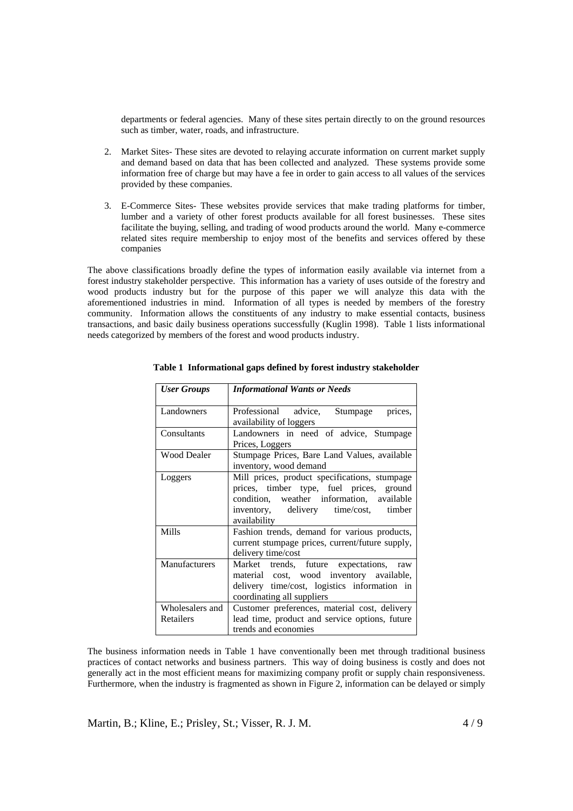departments or federal agencies. Many of these sites pertain directly to on the ground resources such as timber, water, roads, and infrastructure.

- 2. Market Sites- These sites are devoted to relaying accurate information on current market supply and demand based on data that has been collected and analyzed. These systems provide some information free of charge but may have a fee in order to gain access to all values of the services provided by these companies.
- 3. E-Commerce Sites- These websites provide services that make trading platforms for timber, lumber and a variety of other forest products available for all forest businesses. These sites facilitate the buying, selling, and trading of wood products around the world. Many e-commerce related sites require membership to enjoy most of the benefits and services offered by these companies

The above classifications broadly define the types of information easily available via internet from a forest industry stakeholder perspective. This information has a variety of uses outside of the forestry and wood products industry but for the purpose of this paper we will analyze this data with the aforementioned industries in mind. Information of all types is needed by members of the forestry community. Information allows the constituents of any industry to make essential contacts, business transactions, and basic daily business operations successfully (Kuglin 1998). Table 1 lists informational needs categorized by members of the forest and wood products industry.

| <b>User Groups</b>           | <b>Informational Wants or Needs</b>                                                                                                                                                                |
|------------------------------|----------------------------------------------------------------------------------------------------------------------------------------------------------------------------------------------------|
| Landowners                   | Professional advice,<br>Stumpage<br>prices,<br>availability of loggers                                                                                                                             |
| Consultants                  | Landowners in need of advice, Stumpage<br>Prices, Loggers                                                                                                                                          |
| <b>Wood Dealer</b>           | Stumpage Prices, Bare Land Values, available<br>inventory, wood demand                                                                                                                             |
| Loggers                      | Mill prices, product specifications, stumpage<br>prices, timber type, fuel prices, ground<br>condition, weather information, available<br>inventory, delivery time/cost,<br>timber<br>availability |
| Mills                        | Fashion trends, demand for various products,<br>current stumpage prices, current/future supply,<br>delivery time/cost                                                                              |
| Manufacturers                | Market<br>trends, future expectations, raw<br>material cost, wood inventory available,<br>delivery time/cost, logistics information in<br>coordinating all suppliers                               |
| Wholesalers and<br>Retailers | Customer preferences, material cost, delivery<br>lead time, product and service options, future<br>trends and economies                                                                            |

**Table 1 Informational gaps defined by forest industry stakeholder** 

The business information needs in Table 1 have conventionally been met through traditional business practices of contact networks and business partners. This way of doing business is costly and does not generally act in the most efficient means for maximizing company profit or supply chain responsiveness. Furthermore, when the industry is fragmented as shown in Figure 2, information can be delayed or simply

Martin, B.; Kline, E.; Prisley, St.; Visser, R. J. M. 4 / 9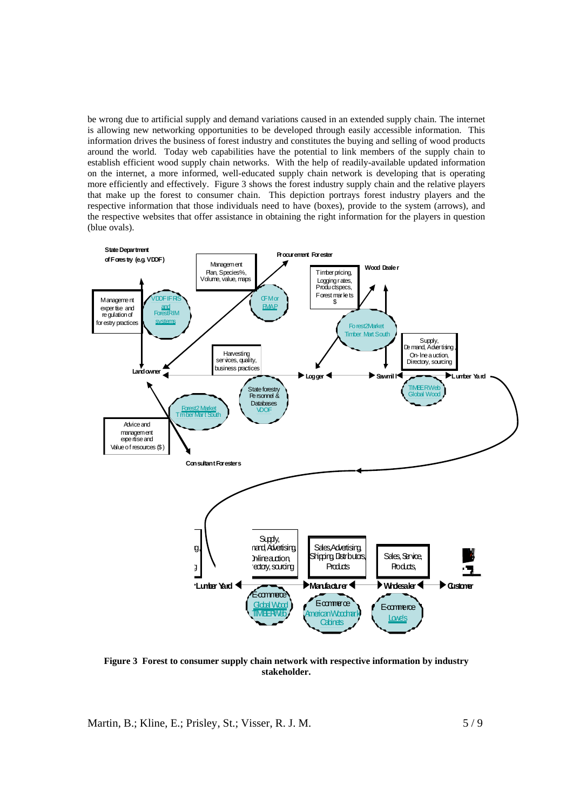be wrong due to artificial supply and demand variations caused in an extended supply chain. The internet is allowing new networking opportunities to be developed through easily accessible information. This information drives the business of forest industry and constitutes the buying and selling of wood products around the world. Today web capabilities have the potential to link members of the supply chain to establish efficient wood supply chain networks. With the help of readily-available updated information on the internet, a more informed, well-educated supply chain network is developing that is operating more efficiently and effectively. Figure 3 shows the forest industry supply chain and the relative players that make up the forest to consumer chain. This depiction portrays forest industry players and the respective information that those individuals need to have (boxes), provide to the system (arrows), and the respective websites that offer assistance in obtaining the right information for the players in question (blue ovals).



 **Figure 3 Forest to consumer supply chain network with respective information by industry stakeholder.** 

Martin, B.; Kline, E.; Prisley, St.; Visser, R. J. M.  $5/9$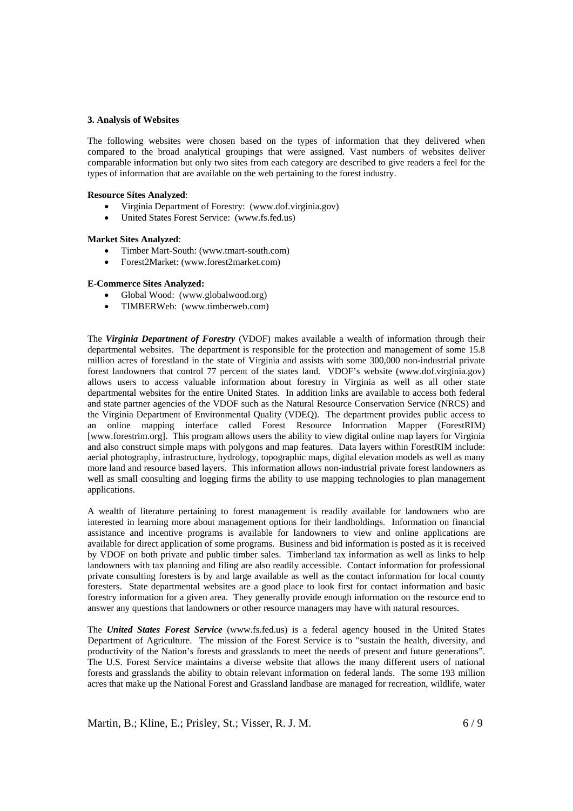#### **3. Analysis of Websites**

The following websites were chosen based on the types of information that they delivered when compared to the broad analytical groupings that were assigned. Vast numbers of websites deliver comparable information but only two sites from each category are described to give readers a feel for the types of information that are available on the web pertaining to the forest industry.

# **Resource Sites Analyzed**:

- Virginia Department of Forestry: (www.dof.virginia.gov)
- United States Forest Service: (www.fs.fed.us)

# **Market Sites Analyzed**:

- Timber Mart-South: (www.tmart-south.com)
- Forest2Market: (www.forest2market.com)

# **E-Commerce Sites Analyzed:**

- Global Wood: (www.globalwood.org)
- TIMBERWeb: (www.timberweb.com)

The *Virginia Department of Forestry* (VDOF) makes available a wealth of information through their departmental websites. The department is responsible for the protection and management of some 15.8 million acres of forestland in the state of Virginia and assists with some 300,000 non-industrial private forest landowners that control 77 percent of the states land. VDOF's website (www.dof.virginia.gov) allows users to access valuable information about forestry in Virginia as well as all other state departmental websites for the entire United States. In addition links are available to access both federal and state partner agencies of the VDOF such as the Natural Resource Conservation Service (NRCS) and the Virginia Department of Environmental Quality (VDEQ). The department provides public access to an online mapping interface called Forest Resource Information Mapper (ForestRIM) [www.forestrim.org]. This program allows users the ability to view digital online map layers for Virginia and also construct simple maps with polygons and map features. Data layers within ForestRIM include: aerial photography, infrastructure, hydrology, topographic maps, digital elevation models as well as many more land and resource based layers. This information allows non-industrial private forest landowners as well as small consulting and logging firms the ability to use mapping technologies to plan management applications.

A wealth of literature pertaining to forest management is readily available for landowners who are interested in learning more about management options for their landholdings. Information on financial assistance and incentive programs is available for landowners to view and online applications are available for direct application of some programs. Business and bid information is posted as it is received by VDOF on both private and public timber sales. Timberland tax information as well as links to help landowners with tax planning and filing are also readily accessible. Contact information for professional private consulting foresters is by and large available as well as the contact information for local county foresters. State departmental websites are a good place to look first for contact information and basic forestry information for a given area. They generally provide enough information on the resource end to answer any questions that landowners or other resource managers may have with natural resources.

The *United States Forest Service* (www.fs.fed.us) is a federal agency housed in the United States Department of Agriculture. The mission of the Forest Service is to "sustain the health, diversity, and productivity of the Nation's forests and grasslands to meet the needs of present and future generations". The U.S. Forest Service maintains a diverse website that allows the many different users of national forests and grasslands the ability to obtain relevant information on federal lands. The some 193 million acres that make up the National Forest and Grassland landbase are managed for recreation, wildlife, water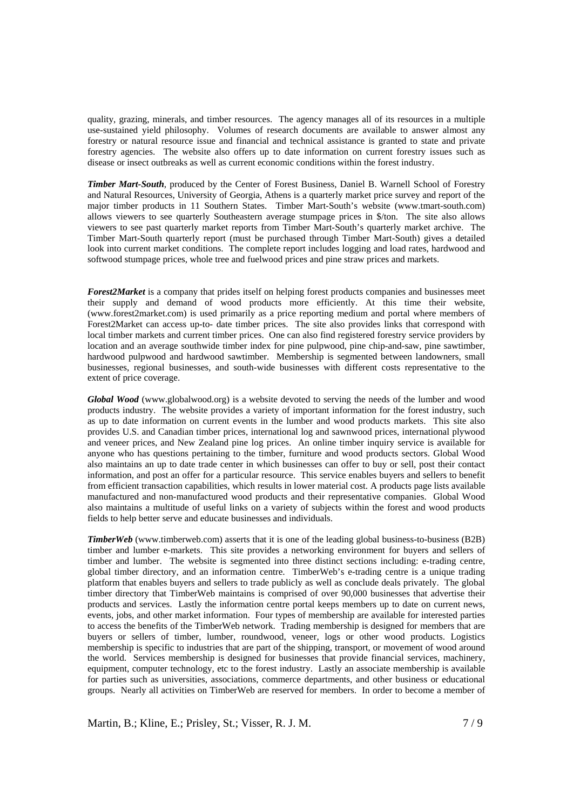quality, grazing, minerals, and timber resources. The agency manages all of its resources in a multiple use-sustained yield philosophy. Volumes of research documents are available to answer almost any forestry or natural resource issue and financial and technical assistance is granted to state and private forestry agencies. The website also offers up to date information on current forestry issues such as disease or insect outbreaks as well as current economic conditions within the forest industry.

*Timber Mart-South*, produced by the Center of Forest Business, Daniel B. Warnell School of Forestry and Natural Resources, University of Georgia, Athens is a quarterly market price survey and report of the major timber products in 11 Southern States. Timber Mart-South's website (www.tmart-south.com) allows viewers to see quarterly Southeastern average stumpage prices in \$/ton. The site also allows viewers to see past quarterly market reports from Timber Mart-South's quarterly market archive. The Timber Mart-South quarterly report (must be purchased through Timber Mart-South) gives a detailed look into current market conditions. The complete report includes logging and load rates, hardwood and softwood stumpage prices, whole tree and fuelwood prices and pine straw prices and markets.

*Forest2Market* is a company that prides itself on helping forest products companies and businesses meet their supply and demand of wood products more efficiently. At this time their website, (www.forest2market.com) is used primarily as a price reporting medium and portal where members of Forest2Market can access up-to- date timber prices. The site also provides links that correspond with local timber markets and current timber prices. One can also find registered forestry service providers by location and an average southwide timber index for pine pulpwood, pine chip-and-saw, pine sawtimber, hardwood pulpwood and hardwood sawtimber. Membership is segmented between landowners, small businesses, regional businesses, and south-wide businesses with different costs representative to the extent of price coverage.

*Global Wood* (www.globalwood.org) is a website devoted to serving the needs of the lumber and wood products industry. The website provides a variety of important information for the forest industry, such as up to date information on current events in the lumber and wood products markets. This site also provides U.S. and Canadian timber prices, international log and sawnwood prices, international plywood and veneer prices, and New Zealand pine log prices. An online timber inquiry service is available for anyone who has questions pertaining to the timber, furniture and wood products sectors. Global Wood also maintains an up to date trade center in which businesses can offer to buy or sell, post their contact information, and post an offer for a particular resource. This service enables buyers and sellers to benefit from efficient transaction capabilities, which results in lower material cost. A products page lists available manufactured and non-manufactured wood products and their representative companies. Global Wood also maintains a multitude of useful links on a variety of subjects within the forest and wood products fields to help better serve and educate businesses and individuals.

*TimberWeb* (www.timberweb.com) asserts that it is one of the leading global business-to-business (B2B) timber and lumber e-markets. This site provides a networking environment for buyers and sellers of timber and lumber. The website is segmented into three distinct sections including: e-trading centre, global timber directory, and an information centre. TimberWeb's e-trading centre is a unique trading platform that enables buyers and sellers to trade publicly as well as conclude deals privately. The global timber directory that TimberWeb maintains is comprised of over 90,000 businesses that advertise their products and services. Lastly the information centre portal keeps members up to date on current news, events, jobs, and other market information. Four types of membership are available for interested parties to access the benefits of the TimberWeb network. Trading membership is designed for members that are buyers or sellers of timber, lumber, roundwood, veneer, logs or other wood products. Logistics membership is specific to industries that are part of the shipping, transport, or movement of wood around the world. Services membership is designed for businesses that provide financial services, machinery, equipment, computer technology, etc to the forest industry. Lastly an associate membership is available for parties such as universities, associations, commerce departments, and other business or educational groups. Nearly all activities on TimberWeb are reserved for members. In order to become a member of

Martin, B.; Kline, E.; Prisley, St.; Visser, R. J. M. 7/9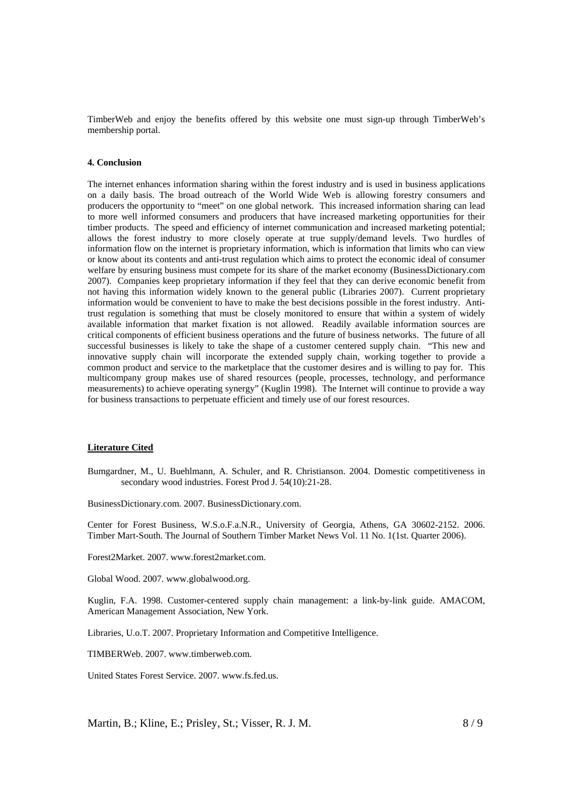TimberWeb and enjoy the benefits offered by this website one must sign-up through TimberWeb's membership portal.

# **4. Conclusion**

The internet enhances information sharing within the forest industry and is used in business applications on a daily basis. The broad outreach of the World Wide Web is allowing forestry consumers and producers the opportunity to "meet" on one global network. This increased information sharing can lead to more well informed consumers and producers that have increased marketing opportunities for their timber products. The speed and efficiency of internet communication and increased marketing potential; allows the forest industry to more closely operate at true supply/demand levels. Two hurdles of information flow on the internet is proprietary information, which is information that limits who can view or know about its contents and anti-trust regulation which aims to protect the economic ideal of consumer welfare by ensuring business must compete for its share of the market economy (BusinessDictionary.com 2007). Companies keep proprietary information if they feel that they can derive economic benefit from not having this information widely known to the general public (Libraries 2007). Current proprietary information would be convenient to have to make the best decisions possible in the forest industry. Antitrust regulation is something that must be closely monitored to ensure that within a system of widely available information that market fixation is not allowed. Readily available information sources are critical components of efficient business operations and the future of business networks. The future of all successful businesses is likely to take the shape of a customer centered supply chain. "This new and innovative supply chain will incorporate the extended supply chain, working together to provide a common product and service to the marketplace that the customer desires and is willing to pay for. This multicompany group makes use of shared resources (people, processes, technology, and performance measurements) to achieve operating synergy" (Kuglin 1998). The Internet will continue to provide a way for business transactions to perpetuate efficient and timely use of our forest resources.

# **Literature Cited**

Bumgardner, M., U. Buehlmann, A. Schuler, and R. Christianson. 2004. Domestic competitiveness in secondary wood industries. Forest Prod J. 54(10):21-28.

BusinessDictionary.com. 2007. BusinessDictionary.com.

Center for Forest Business, W.S.o.F.a.N.R., University of Georgia, Athens, GA 30602-2152. 2006. Timber Mart-South. The Journal of Southern Timber Market News Vol. 11 No. 1(1st. Quarter 2006).

Forest2Market. 2007. www.forest2market.com.

Global Wood. 2007. www.globalwood.org.

Kuglin, F.A. 1998. Customer-centered supply chain management: a link-by-link guide. AMACOM, American Management Association, New York.

Libraries, U.o.T. 2007. Proprietary Information and Competitive Intelligence.

TIMBERWeb. 2007. www.timberweb.com.

United States Forest Service. 2007. www.fs.fed.us.

Martin, B.; Kline, E.; Prisley, St.; Visser, R. J. M.  $8/9$